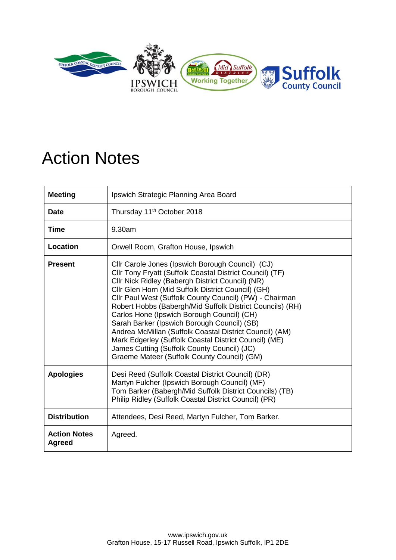

## Action Notes

| <b>Meeting</b>                       | Ipswich Strategic Planning Area Board                                                                                                                                                                                                                                                                                                                                                                                                                                                                                                                                                                                                                         |
|--------------------------------------|---------------------------------------------------------------------------------------------------------------------------------------------------------------------------------------------------------------------------------------------------------------------------------------------------------------------------------------------------------------------------------------------------------------------------------------------------------------------------------------------------------------------------------------------------------------------------------------------------------------------------------------------------------------|
| <b>Date</b>                          | Thursday 11 <sup>th</sup> October 2018                                                                                                                                                                                                                                                                                                                                                                                                                                                                                                                                                                                                                        |
| Time                                 | 9.30am                                                                                                                                                                                                                                                                                                                                                                                                                                                                                                                                                                                                                                                        |
| Location                             | Orwell Room, Grafton House, Ipswich                                                                                                                                                                                                                                                                                                                                                                                                                                                                                                                                                                                                                           |
| <b>Present</b>                       | Cllr Carole Jones (Ipswich Borough Council) (CJ)<br>Cllr Tony Fryatt (Suffolk Coastal District Council) (TF)<br>Cllr Nick Ridley (Babergh District Council) (NR)<br>Cllr Glen Horn (Mid Suffolk District Council) (GH)<br>Cllr Paul West (Suffolk County Council) (PW) - Chairman<br>Robert Hobbs (Babergh/Mid Suffolk District Councils) (RH)<br>Carlos Hone (Ipswich Borough Council) (CH)<br>Sarah Barker (Ipswich Borough Council) (SB)<br>Andrea McMillan (Suffolk Coastal District Council) (AM)<br>Mark Edgerley (Suffolk Coastal District Council) (ME)<br>James Cutting (Suffolk County Council) (JC)<br>Graeme Mateer (Suffolk County Council) (GM) |
| <b>Apologies</b>                     | Desi Reed (Suffolk Coastal District Council) (DR)<br>Martyn Fulcher (Ipswich Borough Council) (MF)<br>Tom Barker (Babergh/Mid Suffolk District Councils) (TB)<br>Philip Ridley (Suffolk Coastal District Council) (PR)                                                                                                                                                                                                                                                                                                                                                                                                                                        |
| <b>Distribution</b>                  | Attendees, Desi Reed, Martyn Fulcher, Tom Barker.                                                                                                                                                                                                                                                                                                                                                                                                                                                                                                                                                                                                             |
| <b>Action Notes</b><br><b>Agreed</b> | Agreed.                                                                                                                                                                                                                                                                                                                                                                                                                                                                                                                                                                                                                                                       |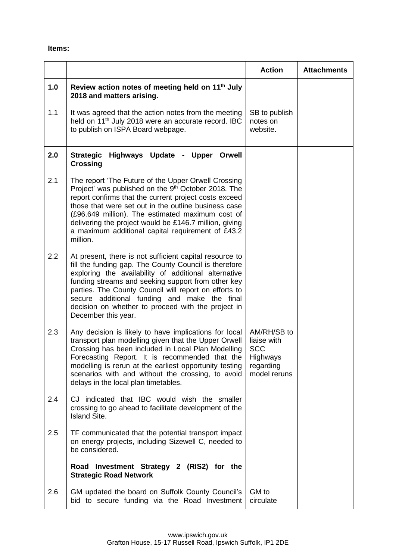## **Items:**

|     |                                                                                                                                                                                                                                                                                                                                                                                                                      | <b>Action</b>                                                                     | <b>Attachments</b> |
|-----|----------------------------------------------------------------------------------------------------------------------------------------------------------------------------------------------------------------------------------------------------------------------------------------------------------------------------------------------------------------------------------------------------------------------|-----------------------------------------------------------------------------------|--------------------|
| 1.0 | Review action notes of meeting held on 11 <sup>th</sup> July<br>2018 and matters arising.                                                                                                                                                                                                                                                                                                                            |                                                                                   |                    |
| 1.1 | It was agreed that the action notes from the meeting<br>held on 11 <sup>th</sup> July 2018 were an accurate record. IBC<br>to publish on ISPA Board webpage.                                                                                                                                                                                                                                                         | SB to publish<br>notes on<br>website.                                             |                    |
| 2.0 | <b>Strategic</b><br>Highways Update - Upper Orwell<br><b>Crossing</b>                                                                                                                                                                                                                                                                                                                                                |                                                                                   |                    |
| 2.1 | The report 'The Future of the Upper Orwell Crossing<br>Project' was published on the 9th October 2018. The<br>report confirms that the current project costs exceed<br>those that were set out in the outline business case<br>(£96.649 million). The estimated maximum cost of<br>delivering the project would be £146.7 million, giving<br>a maximum additional capital requirement of £43.2<br>million.           |                                                                                   |                    |
| 2.2 | At present, there is not sufficient capital resource to<br>fill the funding gap. The County Council is therefore<br>exploring the availability of additional alternative<br>funding streams and seeking support from other key<br>parties. The County Council will report on efforts to<br>secure additional funding and make the final<br>decision on whether to proceed with the project in<br>December this year. |                                                                                   |                    |
| 2.3 | Any decision is likely to have implications for local<br>transport plan modelling given that the Upper Orwell<br>Crossing has been included in Local Plan Modelling<br>Forecasting Report. It is recommended that the<br>modelling is rerun at the earliest opportunity testing<br>scenarios with and without the crossing, to avoid<br>delays in the local plan timetables.                                         | AM/RH/SB to<br>liaise with<br><b>SCC</b><br>Highways<br>regarding<br>model reruns |                    |
| 2.4 | CJ indicated that IBC would wish the smaller<br>crossing to go ahead to facilitate development of the<br><b>Island Site.</b>                                                                                                                                                                                                                                                                                         |                                                                                   |                    |
| 2.5 | TF communicated that the potential transport impact<br>on energy projects, including Sizewell C, needed to<br>be considered.                                                                                                                                                                                                                                                                                         |                                                                                   |                    |
|     | Road Investment Strategy 2 (RIS2) for the<br><b>Strategic Road Network</b>                                                                                                                                                                                                                                                                                                                                           |                                                                                   |                    |
| 2.6 | GM updated the board on Suffolk County Council's<br>bid to secure funding via the Road Investment                                                                                                                                                                                                                                                                                                                    | GM to<br>circulate                                                                |                    |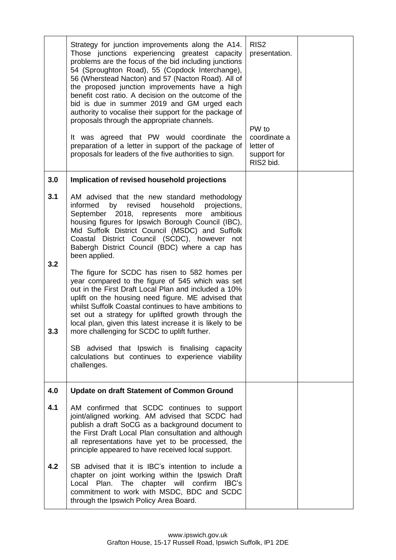|            | Strategy for junction improvements along the A14.<br>Those junctions experiencing greatest capacity<br>problems are the focus of the bid including junctions<br>54 (Sproughton Road), 55 (Copdock Interchange),<br>56 (Wherstead Nacton) and 57 (Nacton Road). All of<br>the proposed junction improvements have a high<br>benefit cost ratio. A decision on the outcome of the<br>bid is due in summer 2019 and GM urged each<br>authority to vocalise their support for the package of<br>proposals through the appropriate channels.<br>It was agreed that PW would coordinate the<br>preparation of a letter in support of the package of<br>proposals for leaders of the five authorities to sign. | RIS <sub>2</sub><br>presentation.<br>PW to<br>coordinate a<br>letter of<br>support for<br>RIS2 bid. |  |
|------------|---------------------------------------------------------------------------------------------------------------------------------------------------------------------------------------------------------------------------------------------------------------------------------------------------------------------------------------------------------------------------------------------------------------------------------------------------------------------------------------------------------------------------------------------------------------------------------------------------------------------------------------------------------------------------------------------------------|-----------------------------------------------------------------------------------------------------|--|
| 3.0        | Implication of revised household projections                                                                                                                                                                                                                                                                                                                                                                                                                                                                                                                                                                                                                                                            |                                                                                                     |  |
| 3.1<br>3.2 | AM advised that the new standard methodology<br>informed<br>by<br>revised<br>household<br>projections,<br>September 2018, represents more<br>ambitious<br>housing figures for Ipswich Borough Council (IBC),<br>Mid Suffolk District Council (MSDC) and Suffolk<br>Coastal District Council (SCDC), however not<br>Babergh District Council (BDC) where a cap has<br>been applied.                                                                                                                                                                                                                                                                                                                      |                                                                                                     |  |
| 3.3        | The figure for SCDC has risen to 582 homes per<br>year compared to the figure of 545 which was set<br>out in the First Draft Local Plan and included a 10%<br>uplift on the housing need figure. ME advised that<br>whilst Suffolk Coastal continues to have ambitions to<br>set out a strategy for uplifted growth through the<br>local plan, given this latest increase it is likely to be<br>more challenging for SCDC to uplift further.                                                                                                                                                                                                                                                            |                                                                                                     |  |
|            | SB advised that Ipswich is finalising capacity<br>calculations but continues to experience viability<br>challenges.                                                                                                                                                                                                                                                                                                                                                                                                                                                                                                                                                                                     |                                                                                                     |  |
| 4.0        | <b>Update on draft Statement of Common Ground</b>                                                                                                                                                                                                                                                                                                                                                                                                                                                                                                                                                                                                                                                       |                                                                                                     |  |
| 4.1        | AM confirmed that SCDC continues to support<br>joint/aligned working. AM advised that SCDC had<br>publish a draft SoCG as a background document to<br>the First Draft Local Plan consultation and although<br>all representations have yet to be processed, the<br>principle appeared to have received local support.                                                                                                                                                                                                                                                                                                                                                                                   |                                                                                                     |  |
| 4.2        | SB advised that it is IBC's intention to include a<br>chapter on joint working within the Ipswich Draft<br>Local Plan. The chapter will confirm IBC's<br>commitment to work with MSDC, BDC and SCDC<br>through the Ipswich Policy Area Board.                                                                                                                                                                                                                                                                                                                                                                                                                                                           |                                                                                                     |  |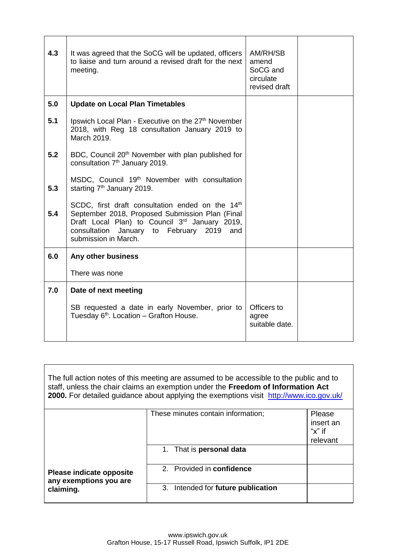| 4.3 | It was agreed that the SoCG will be updated, officers<br>to liaise and turn around a revised draft for the next<br>meeting.                                                                                                               | AM/RH/SB<br>amend<br>SoCG and<br>circulate<br>revised draft |  |
|-----|-------------------------------------------------------------------------------------------------------------------------------------------------------------------------------------------------------------------------------------------|-------------------------------------------------------------|--|
| 5.0 | <b>Update on Local Plan Timetables</b>                                                                                                                                                                                                    |                                                             |  |
| 5.1 | Ipswich Local Plan - Executive on the 27 <sup>th</sup> November<br>2018, with Reg 18 consultation January 2019 to<br>March 2019.                                                                                                          |                                                             |  |
| 5.2 | BDC, Council 20 <sup>th</sup> November with plan published for<br>consultation 7 <sup>th</sup> January 2019.                                                                                                                              |                                                             |  |
| 5.3 | MSDC, Council 19 <sup>th</sup> November with consultation<br>starting 7 <sup>th</sup> January 2019.                                                                                                                                       |                                                             |  |
| 5.4 | SCDC, first draft consultation ended on the 14th<br>September 2018, Proposed Submission Plan (Final<br>Draft Local Plan) to Council 3 <sup>rd</sup> January 2019,<br>consultation January to February 2019<br>and<br>submission in March. |                                                             |  |
| 6.0 | Any other business                                                                                                                                                                                                                        |                                                             |  |
|     | There was none                                                                                                                                                                                                                            |                                                             |  |
| 7.0 | Date of next meeting                                                                                                                                                                                                                      |                                                             |  |
|     | SB requested a date in early November, prior to<br>Tuesday 6 <sup>th</sup> . Location - Grafton House.                                                                                                                                    | Officers to<br>agree<br>suitable date.                      |  |

| The full action notes of this meeting are assumed to be accessible to the public and to<br>staff, unless the chair claims an exemption under the Freedom of Information Act<br>2000. For detailed guidance about applying the exemptions visit http://www.ico.gov.uk/ |                                       |                                               |  |
|-----------------------------------------------------------------------------------------------------------------------------------------------------------------------------------------------------------------------------------------------------------------------|---------------------------------------|-----------------------------------------------|--|
|                                                                                                                                                                                                                                                                       | These minutes contain information;    | Please<br>insert an<br>" $x$ " if<br>relevant |  |
|                                                                                                                                                                                                                                                                       | 1. That is <b>personal data</b>       |                                               |  |
| Please indicate opposite<br>any exemptions you are                                                                                                                                                                                                                    | 2. Provided in confidence             |                                               |  |
| claiming.                                                                                                                                                                                                                                                             | Intended for future publication<br>3. |                                               |  |